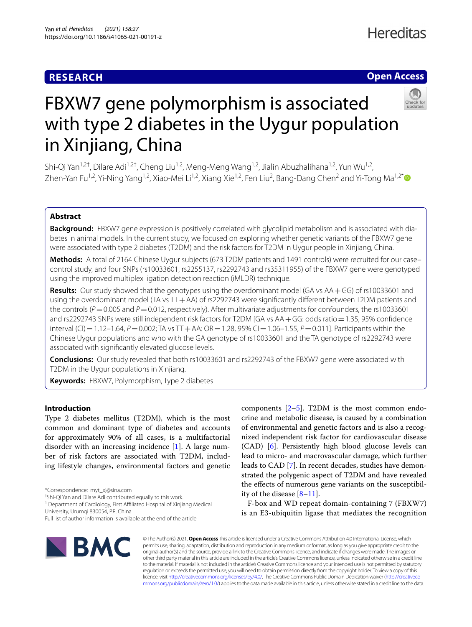### **RESEARCH**

## **Hereditas**

### **Open Access**



# FBXW7 gene polymorphism is associated with type 2 diabetes in the Uygur population in Xinjiang, China

Shi-Qi Yan<sup>1,2†</sup>, Dilare Adi<sup>1,2†</sup>, Cheng Liu<sup>1,2</sup>, Meng-Meng Wang<sup>1,2</sup>, Jialin Abuzhalihana<sup>1,2</sup>, Yun Wu<sup>1,2</sup>, Zhen-Yan Fu<sup>1,2</sup>, Yi-Ning Yang<sup>1,2</sup>, Xiao-Mei Li<sup>1,2</sup>, Xiang Xie<sup>1,2</sup>, Fen Liu<sup>2</sup>, Bang-Dang Chen<sup>2</sup> and Yi-Tong Ma<sup>1,2[\\*](http://orcid.org/0000-0003-2520-8206)</sup>

### **Abstract**

**Background:** FBXW7 gene expression is positively correlated with glycolipid metabolism and is associated with dia‑ betes in animal models. In the current study, we focused on exploring whether genetic variants of the FBXW7 gene were associated with type 2 diabetes (T2DM) and the risk factors for T2DM in Uygur people in Xinjiang, China.

**Methods:** A total of 2164 Chinese Uygur subjects (673 T2DM patients and 1491 controls) were recruited for our case– control study, and four SNPs (rs10033601, rs2255137, rs2292743 and rs35311955) of the FBXW7 gene were genotyped using the improved multiplex ligation detection reaction (iMLDR) technique.

**Results:** Our study showed that the genotypes using the overdominant model (GA vs AA+GG) of rs10033601 and using the overdominant model (TA vs TT+AA) of rs2292743 were signifcantly diferent between T2DM patients and the controls ( $P=0.005$  and  $P=0.012$ , respectively). After multivariate adjustments for confounders, the rs10033601 and rs2292743 SNPs were still independent risk factors for T2DM [GA vs AA+GG: odds ratio=1.35, 95% confdence interval (CI) = 1.12–1.64, *P* = 0.002; TA vs TT + AA: OR = 1.28, 95% CI = 1.06–1.55, *P* = 0.011]. Participants within the Chinese Uygur populations and who with the GA genotype of rs10033601 and the TA genotype of rs2292743 were associated with signifcantly elevated glucose levels.

**Conclusions:** Our study revealed that both rs10033601 and rs2292743 of the FBXW7 gene were associated with T2DM in the Uygur populations in Xinjiang.

**Keywords:** FBXW7, Polymorphism, Type 2 diabetes

### **Introduction**

Type 2 diabetes mellitus (T2DM), which is the most common and dominant type of diabetes and accounts for approximately 90% of all cases, is a multifactorial disorder with an increasing incidence [[1](#page-5-0)]. A large number of risk factors are associated with T2DM, including lifestyle changes, environmental factors and genetic

† Shi-Qi Yan and Dilare Adi contributed equally to this work.

<sup>1</sup> Department of Cardiology, First Affiliated Hospital of Xinjiang Medical University, Urumqi 830054, P.R. China

components  $[2-5]$  $[2-5]$ . T2DM is the most common endocrine and metabolic disease, is caused by a combination of environmental and genetic factors and is also a recognized independent risk factor for cardiovascular disease (CAD) [[6\]](#page-5-3). Persistently high blood glucose levels can lead to micro- and macrovascular damage, which further leads to CAD [\[7](#page-5-4)]. In recent decades, studies have demonstrated the polygenic aspect of T2DM and have revealed the efects of numerous gene variants on the susceptibility of the disease [[8–](#page-5-5)[11\]](#page-5-6).

F-box and WD repeat domain-containing 7 (FBXW7) is an E3-ubiquitin ligase that mediates the recognition



© The Author(s) 2021. **Open Access** This article is licensed under a Creative Commons Attribution 4.0 International License, which permits use, sharing, adaptation, distribution and reproduction in any medium or format, as long as you give appropriate credit to the original author(s) and the source, provide a link to the Creative Commons licence, and indicate if changes were made. The images or other third party material in this article are included in the article's Creative Commons licence, unless indicated otherwise in a credit line to the material. If material is not included in the article's Creative Commons licence and your intended use is not permitted by statutory regulation or exceeds the permitted use, you will need to obtain permission directly from the copyright holder. To view a copy of this licence, visit [http://creativecommons.org/licenses/by/4.0/.](http://creativecommons.org/licenses/by/4.0/) The Creative Commons Public Domain Dedication waiver ([http://creativeco](http://creativecommons.org/publicdomain/zero/1.0/) [mmons.org/publicdomain/zero/1.0/](http://creativecommons.org/publicdomain/zero/1.0/)) applies to the data made available in this article, unless otherwise stated in a credit line to the data.

<sup>\*</sup>Correspondence: myt\_xj@sina.com

Full list of author information is available at the end of the article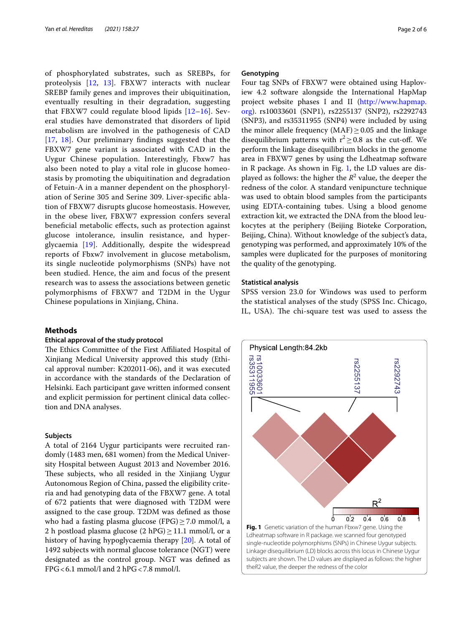of phosphorylated substrates, such as SREBPs, for proteolysis [[12](#page-5-7), [13\]](#page-5-8). FBXW7 interacts with nuclear SREBP family genes and improves their ubiquitination, eventually resulting in their degradation, suggesting that FBXW7 could regulate blood lipids [[12–](#page-5-7)[16\]](#page-5-9). Several studies have demonstrated that disorders of lipid metabolism are involved in the pathogenesis of CAD [[17](#page-5-10), [18\]](#page-5-11). Our preliminary fndings suggested that the FBXW7 gene variant is associated with CAD in the Uygur Chinese population. Interestingly, Fbxw7 has also been noted to play a vital role in glucose homeostasis by promoting the ubiquitination and degradation of Fetuin-A in a manner dependent on the phosphorylation of Serine 305 and Serine 309. Liver-specifc ablation of FBXW7 disrupts glucose homeostasis. However, in the obese liver, FBXW7 expression confers several benefcial metabolic efects, such as protection against glucose intolerance, insulin resistance, and hyperglycaemia [\[19](#page-5-12)]. Additionally, despite the widespread reports of Fbxw7 involvement in glucose metabolism, its single nucleotide polymorphisms (SNPs) have not been studied. Hence, the aim and focus of the present research was to assess the associations between genetic polymorphisms of FBXW7 and T2DM in the Uygur Chinese populations in Xinjiang, China.

### **Methods**

### **Ethical approval of the study protocol**

The Ethics Committee of the First Affiliated Hospital of Xinjiang Medical University approved this study (Ethical approval number: K202011-06), and it was executed in accordance with the standards of the Declaration of Helsinki. Each participant gave written informed consent and explicit permission for pertinent clinical data collection and DNA analyses.

### **Subjects**

A total of 2164 Uygur participants were recruited randomly (1483 men, 681 women) from the Medical University Hospital between August 2013 and November 2016. These subjects, who all resided in the Xinjiang Uygur Autonomous Region of China, passed the eligibility criteria and had genotyping data of the FBXW7 gene. A total of 672 patients that were diagnosed with T2DM were assigned to the case group. T2DM was defned as those who had a fasting plasma glucose (FPG) $\geq$ 7.0 mmol/l, a 2 h postload plasma glucose (2 hPG)  $\geq$  11.1 mmol/l, or a history of having hypoglycaemia therapy [[20\]](#page-5-13). A total of 1492 subjects with normal glucose tolerance (NGT) were designated as the control group. NGT was defned as  $FPG < 6.1$  mmol/l and 2 hPG  $< 7.8$  mmol/l.

### **Genotyping**

Four tag SNPs of FBXW7 were obtained using Haploview 4.2 software alongside the International HapMap project website phases I and II [\(http://www.hapmap.](http://www.hapmap.org) [org](http://www.hapmap.org)). rs10033601 (SNP1), rs2255137 (SNP2), rs2292743 (SNP3), and rs35311955 (SNP4) were included by using the minor allele frequency  $(MAF) > 0.05$  and the linkage disequilibrium patterns with  $r^2 \ge 0.8$  as the cut-off. We perform the linkage disequilibrium blocks in the genome area in FBXW7 genes by using the Ldheatmap software in R package. As shown in Fig. [1](#page-1-0), the LD values are displayed as follows: the higher the  $R^2$  value, the deeper the redness of the color. A standard venipuncture technique was used to obtain blood samples from the participants using EDTA-containing tubes. Using a blood genome extraction kit, we extracted the DNA from the blood leukocytes at the periphery (Beijing Bioteke Corporation, Beijing, China). Without knowledge of the subject's data, genotyping was performed, and approximately 10% of the samples were duplicated for the purposes of monitoring the quality of the genotyping.

### **Statistical analysis**

SPSS version 23.0 for Windows was used to perform the statistical analyses of the study (SPSS Inc. Chicago, IL, USA). The chi-square test was used to assess the

<span id="page-1-0"></span>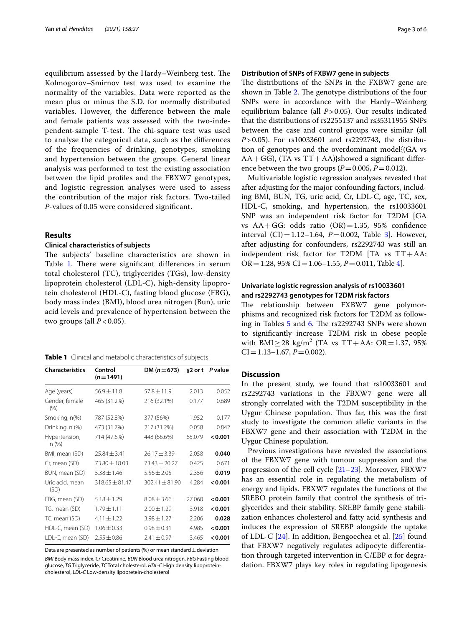equilibrium assessed by the Hardy–Weinberg test. The Kolmogorov–Smirnov test was used to examine the normality of the variables. Data were reported as the mean plus or minus the S.D. for normally distributed variables. However, the diference between the male and female patients was assessed with the two-independent-sample T-test. The chi-square test was used to analyse the categorical data, such as the diferences of the frequencies of drinking, genotypes, smoking and hypertension between the groups. General linear analysis was performed to test the existing association between the lipid profles and the FBXW7 genotypes, and logistic regression analyses were used to assess the contribution of the major risk factors. Two-tailed *P*-values of 0.05 were considered signifcant.

### **Results**

### **Clinical characteristics of subjects**

The subjects' baseline characteristics are shown in Table [1.](#page-2-0) There were significant differences in serum total cholesterol (TC), triglycerides (TGs), low-density lipoprotein cholesterol (LDL-C), high-density lipoprotein cholesterol (HDL-C), fasting blood glucose (FBG), body mass index (BMI), blood urea nitrogen (Bun), uric acid levels and prevalence of hypertension between the two groups (all  $P < 0.05$ ).

<span id="page-2-0"></span>

| Table 1 Clinical and metabolic characteristics of subjects |  |
|------------------------------------------------------------|--|
|------------------------------------------------------------|--|

| <b>Characteristics</b>  | Control<br>$(n=1491)$ | DM $(n=673)$       | χ2 or t | P value |
|-------------------------|-----------------------|--------------------|---------|---------|
| Age (years)             | $56.9 \pm 11.8$       | $57.8 \pm 11.9$    | 2.013   | 0.052   |
| Gender, female<br>(% )  | 465 (31.2%)           | 216 (32.1%)        | 0.177   | 0.689   |
| Smoking, n(%)           | 787 (52.8%)           | 377 (56%)          | 1.952   | 0.177   |
| Drinking, n (%)         | 473 (31.7%)           | 217 (31.2%)        | 0.058   | 0.842   |
| Hypertension,<br>n (%)  | 714 (47.6%)           | 448 (66.6%)        | 65.079  | < 0.001 |
| BMI, mean (SD)          | $25.84 \pm 3.41$      | $26.17 \pm 3.39$   | 2.058   | 0.040   |
| Cr, mean (SD)           | $73.80 \pm 18.03$     | $73.43 \pm 20.27$  | 0.425   | 0.671   |
| BUN, mean (SD)          | $5.38 \pm 1.46$       | $5.56 \pm 2.05$    | 2.356   | 0.019   |
| Uric acid, mean<br>(SD) | $318.65 \pm 81.47$    | $302.41 \pm 81.90$ | 4.284   | < 0.001 |
| FBG, mean (SD)          | $5.18 \pm 1.29$       | $8.08 \pm 3.66$    | 27.060  | < 0.001 |
| TG, mean (SD)           | $1.79 \pm 1.11$       | $2.00 \pm 1.29$    | 3.918   | 0.001   |
| TC, mean (SD)           | $4.11 \pm 1.22$       | $3.98 \pm 1.27$    | 2.206   | 0.028   |
| HDL-C, mean (SD)        | $1.06 \pm 0.33$       | $0.98 \pm 0.31$    | 4.985   | < 0.001 |
| LDL-C, mean (SD)        | $2.55 \pm 0.86$       | $2.41 + 0.97$      | 3.465   | 0.001   |

Data are presented as number of patients (%) or mean standard  $\pm$  deviation

*BMI* Body mass index, *Cr* Creatinine, *BUN* Blood urea nitrogen, *FBG* Fasting blood glucose, *TG* Triglyceride, *TC* Total cholesterol, *HDL-C* High density lipoproteincholesterol, *LDL-C* Low-density lipopretein-cholesterol

### **Distribution of SNPs of FXBW7 gene in subjects**

The distributions of the SNPs in the FXBW7 gene are shown in Table [2](#page-3-0). The genotype distributions of the four SNPs were in accordance with the Hardy–Weinberg equilibrium balance (all *P*>0.05). Our results indicated that the distributions of rs2255137 and rs35311955 SNPs between the case and control groups were similar (all *P*>0.05). For rs10033601 and rs2292743, the distribution of genotypes and the overdominant model{(GA vs  $AA+GG$ ), (TA vs TT+AA)}showed a significant difference between the two groups  $(P=0.005, P=0.012)$ .

Multivariable logistic regression analyses revealed that after adjusting for the major confounding factors, including BMI, BUN, TG, uric acid, Cr, LDL-C, age, TC, sex, HDL-C, smoking, and hypertension, the rs10033601 SNP was an independent risk factor for T2DM [GA vs  $AA + GG$ : odds ratio  $(OR) = 1.35$ , 95% confidence interval  $(CI) = 1.12-1.64$ ,  $P = 0.002$ , Table [3](#page-3-1)]. However, after adjusting for confounders, rs2292743 was still an independent risk factor for T2DM [TA vs TT+AA: OR=1.28, 95% CI=1.06–1.55, *P*=0.011, Table [4](#page-3-2)].

### **Univariate logistic regression analysis of rs10033601 and rs2292743 genotypes for T2DM risk factors**

The relationship between FXBW7 gene polymorphisms and recognized risk factors for T2DM as follow-ing in Tables [5](#page-4-0) and [6.](#page-4-1) The rs2292743 SNPs were shown to signifcantly increase T2DM risk in obese people with  $BMI \geq 28 \text{ kg/m}^2 \text{ (TA vs } TT + AA: OR = 1.37, 95\%$  $CI = 1.13 - 1.67$ ,  $P = 0.002$ ).

### **Discussion**

In the present study, we found that rs10033601 and rs2292743 variations in the FBXW7 gene were all strongly correlated with the T2DM susceptibility in the Uygur Chinese population. Thus far, this was the first study to investigate the common allelic variants in the FBXW7 gene and their association with T2DM in the Uygur Chinese population.

Previous investigations have revealed the associations of the FBXW7 gene with tumour suppression and the progression of the cell cycle [[21–](#page-5-14)[23](#page-5-15)]. Moreover, FBXW7 has an essential role in regulating the metabolism of energy and lipids. FBXW7 regulates the functions of the SREBO protein family that control the synthesis of triglycerides and their stability. SREBP family gene stabilization enhances cholesterol and fatty acid synthesis and induces the expression of SREBP alongside the uptake of LDL-C [[24](#page-5-16)]. In addition, Bengoechea et al. [\[25](#page-5-17)] found that FBXW7 negatively regulates adipocyte diferentiation through targeted intervention in  $C/EBP$   $\alpha$  for degradation. FBXW7 plays key roles in regulating lipogenesis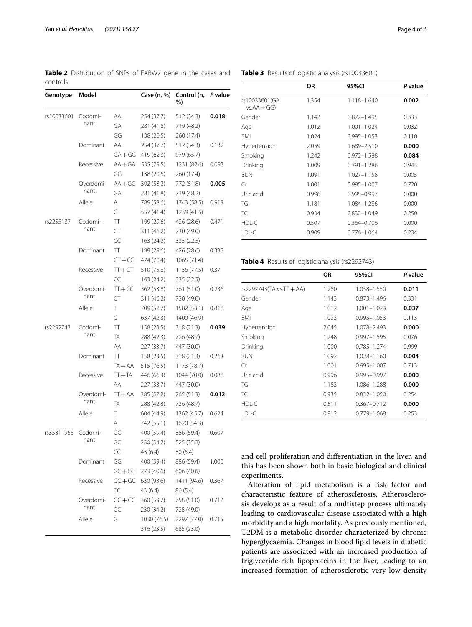<span id="page-3-0"></span>**Table 2** Distribution of SNPs of FXBW7 gene in the cases and controls

| Genotype   | Model             |           | Case (n, %) | Control (n,<br>%) | P value |
|------------|-------------------|-----------|-------------|-------------------|---------|
| rs10033601 | Codomi-           | AA        | 254 (37.7)  | 512 (34.3)        | 0.018   |
|            | nant              | GА        | 281 (41.8)  | 719 (48.2)        |         |
|            |                   | GG        | 138 (20.5)  | 260 (17.4)        |         |
|            | Dominant          | ΑA        | 254 (37.7)  | 512 (34.3)        | 0.132   |
|            |                   | $GA + GG$ | 419 (62.3)  | 979 (65.7)        |         |
|            | Recessive         | $AA + GA$ | 535 (79.5)  | 1231 (82.6)       | 0.093   |
|            |                   | GG        | 138 (20.5)  | 260 (17.4)        |         |
|            | Overdomi-         | $AA+GG$   | 392 (58.2)  | 772 (51.8)        | 0.005   |
|            | nant              | GА        | 281 (41.8)  | 719 (48.2)        |         |
|            | Allele            | Α         | 789 (58.6)  | 1743 (58.5)       | 0.918   |
|            |                   | G         | 557 (41.4)  | 1239 (41.5)       |         |
| rs2255137  | Codomi-           | TT        | 199 (29.6)  | 426 (28.6)        | 0.471   |
|            | nant              | CT        | 311 (46.2)  | 730 (49.0)        |         |
|            |                   | CC        | 163 (24.2)  | 335 (22.5)        |         |
|            | Dominant          | TT        | 199 (29.6)  | 426 (28.6)        | 0.335   |
|            |                   | $CT+CC$   | 474 (70.4)  | 1065 (71.4)       |         |
|            | Recessive         | $TT + CT$ | 510 (75.8)  | 1156 (77.5)       | 0.37    |
|            |                   | CC        | 163 (24.2)  | 335 (22.5)        |         |
|            | Overdomi-<br>nant | $TT + CC$ | 362 (53.8)  | 761 (51.0)        | 0.236   |
|            |                   | CT        | 311 (46.2)  | 730 (49.0)        |         |
|            | Allele            | Τ         | 709 (52.7)  | 1582 (53.1)       | 0.818   |
|            |                   | C         | 637 (42.3)  | 1400 (46.9)       |         |
| rs2292743  | Codomi-<br>nant   | ТT        | 158 (23.5)  | 318 (21.3)        | 0.039   |
|            |                   | TA        | 288 (42.3)  | 726 (48.7)        |         |
|            |                   | AA        | 227 (33.7)  | 447 (30.0)        |         |
|            | Dominant          | ТT        | 158 (23.5)  | 318(21.3)         | 0.263   |
|            |                   | $TA + AA$ | 515 (76.5)  | 1173 (78.7)       |         |
|            | Recessive         | $TT+TA$   | 446 (66.3)  | 1044 (70.0)       | 0.088   |
|            |                   | AA        | 227 (33.7)  | 447 (30.0)        |         |
|            | Overdomi-         | $TT + AA$ | 385 (57.2)  | 765 (51.3)        | 0.012   |
|            | nant              | TA        | 288 (42.8)  | 726 (48.7)        |         |
|            | Allele            | Τ         | 604 (44.9)  | 1362 (45.7)       | 0.624   |
|            |                   | A         | 742 (55.1)  | 1620 (54.3)       |         |
| rs35311955 | Codomi-           | GG        | 400 (59.4)  | 886 (59.4)        | 0.607   |
|            | nant              | GC        | 230 (34.2)  | 525 (35.2)        |         |
|            |                   | CC        | 43 (6.4)    | 80 (5.4)          |         |
|            | Dominant          | GG        | 400 (59.4)  | 886 (59.4)        | 1.000   |
|            |                   | $GC + CC$ | 273 (40.6)  | 606 (40.6)        |         |
|            | Recessive         | $GG+GC$   | 630 (93.6)  | 1411 (94.6)       | 0.367   |
|            |                   | CC        | 43 (6.4)    | 80 (5.4)          |         |
|            | Overdomi-         | $GG + CC$ | 360 (53.7)  | 758 (51.0)        | 0.712   |
|            | nant              | GC        | 230 (34.2)  | 728 (49.0)        |         |
|            | Allele            | G         | 1030 (76.5) | 2297 (77.0)       | 0.715   |
|            |                   |           | 316 (23.5)  | 685 (23.0)        |         |

|                               | 0R    | 95%CI           | P value |
|-------------------------------|-------|-----------------|---------|
| rs10033601(GA<br>$vs.AA + GG$ | 1.354 | 1.118-1.640     | 0.002   |
| Gender                        | 1.142 | $0.872 - 1.495$ | 0.333   |
| Age                           | 1.012 | $1.001 - 1.024$ | 0.032   |
| <b>BMI</b>                    | 1.024 | $0.995 - 1.053$ | 0.110   |
| Hypertension                  | 2.059 | 1.689-2.510     | 0.000   |
| Smoking                       | 1.242 | $0.972 - 1.588$ | 0.084   |
| Drinking                      | 1.009 | $0.791 - 1.286$ | 0.943   |
| <b>BUN</b>                    | 1.091 | 1.027-1.158     | 0.005   |
| Cr                            | 1.001 | $0.995 - 1.007$ | 0.720   |
| Uric acid                     | 0.996 | 0.995-0.997     | 0.000   |
| TG                            | 1.181 | 1.084-1.286     | 0.000   |
| TC.                           | 0.934 | $0.832 - 1.049$ | 0.250   |
| $HDI-C$                       | 0.507 | $0.364 - 0.706$ | 0.000   |
| LDL-C                         | 0.909 | $0.776 - 1.064$ | 0.234   |

### <span id="page-3-1"></span>**Table 3** Results of logistic analysis (rs10033601)

<span id="page-3-2"></span>**Table 4** Results of logistic analysis (rs2292743)

|                          | ΟR    | 95%CI           | P value |
|--------------------------|-------|-----------------|---------|
| rs2292743(TA vs.TT + AA) | 1.280 | 1.058-1.550     | 0.011   |
| Gender                   | 1.143 | 0.873-1.496     | 0.331   |
| Age                      | 1.012 | $1.001 - 1.023$ | 0.037   |
| BMI                      | 1.023 | $0.995 - 1.053$ | 0.113   |
| Hypertension             | 2.045 | 1.078-2.493     | 0.000   |
| Smoking                  | 1.248 | $0.997 - 1.595$ | 0.076   |
| Drinking                 | 1.000 | 0.785-1.274     | 0.999   |
| <b>BUN</b>               | 1.092 | 1.028-1.160     | 0.004   |
| Cr                       | 1.001 | $0.995 - 1.007$ | 0.713   |
| Uric acid                | 0.996 | 0.995-0.997     | 0.000   |
| TG                       | 1.183 | 1.086-1.288     | 0.000   |
| TC                       | 0.935 | $0.832 - 1.050$ | 0.254   |
| HDL-C                    | 0.511 | $0.367 - 0.712$ | 0.000   |
| LDL-C                    | 0.912 | 0.779-1.068     | 0.253   |

and cell proliferation and diferentiation in the liver, and this has been shown both in basic biological and clinical experiments.

Alteration of lipid metabolism is a risk factor and characteristic feature of atherosclerosis. Atherosclerosis develops as a result of a multistep process ultimately leading to cardiovascular disease associated with a high morbidity and a high mortality. As previously mentioned, T2DM is a metabolic disorder characterized by chronic hyperglycaemia. Changes in blood lipid levels in diabetic patients are associated with an increased production of triglyceride-rich lipoproteins in the liver, leading to an increased formation of atherosclerotic very low-density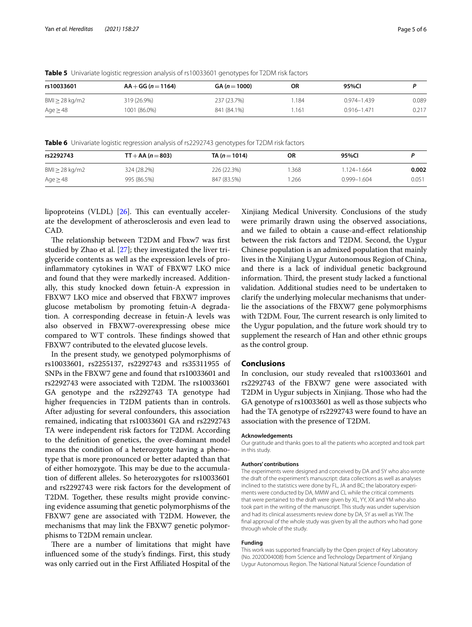| rs10033601         | $AA + GG (n = 1164)$ | $GA (n = 1000)$ | ΟR   | 95%CI           |       |
|--------------------|----------------------|-----------------|------|-----------------|-------|
| $BM \geq 28$ kg/m2 | 319 (26.9%)          | 237 (23.7%)     | .184 | $0.974 - 1.439$ | 0.089 |
| Age $\geq$ 48      | 1001 (86.0%)         | 841 (84.1%)     | .161 | $0.916 - 1.471$ | 0.217 |

<span id="page-4-0"></span>**Table 5** Univariate logistic regression analysis of rs10033601 genotypes for T2DM risk factors

<span id="page-4-1"></span>**Table 6** Univariate logistic regression analysis of rs2292743 genotypes for T2DM risk factors

| rs2292743          | $TT + AA (n = 803)$ | TA ( $n = 1014$ ) | <b>OR</b> | 95%CI           |       |
|--------------------|---------------------|-------------------|-----------|-----------------|-------|
| $BM \geq 28$ kg/m2 | 324 (28.2%)         | 226 (22.3%)       | .368      | $1.124 - 1.664$ | 0.002 |
| Age $\geq$ 48      | 995 (86.5%)         | 847 (83.5%)       | .266      | 0.999-1.604     | 0.051 |

lipoproteins (VLDL)  $[26]$  $[26]$ . This can eventually accelerate the development of atherosclerosis and even lead to CAD.

The relationship between T2DM and Fbxw7 was first studied by Zhao et al. [\[27](#page-5-19)]; they investigated the liver triglyceride contents as well as the expression levels of proinfammatory cytokines in WAT of FBXW7 LKO mice and found that they were markedly increased. Additionally, this study knocked down fetuin-A expression in FBXW7 LKO mice and observed that FBXW7 improves glucose metabolism by promoting fetuin-A degradation. A corresponding decrease in fetuin-A levels was also observed in FBXW7-overexpressing obese mice compared to WT controls. These findings showed that FBXW7 contributed to the elevated glucose levels.

In the present study, we genotyped polymorphisms of rs10033601, rs2255137, rs2292743 and rs35311955 of SNPs in the FBXW7 gene and found that rs10033601 and rs2292743 were associated with T2DM. The rs10033601 GA genotype and the rs2292743 TA genotype had higher frequencies in T2DM patients than in controls. After adjusting for several confounders, this association remained, indicating that rs10033601 GA and rs2292743 TA were independent risk factors for T2DM. According to the defnition of genetics, the over-dominant model means the condition of a heterozygote having a phenotype that is more pronounced or better adapted than that of either homozygote. This may be due to the accumulation of diferent alleles. So heterozygotes for rs10033601 and rs2292743 were risk factors for the development of T2DM. Together, these results might provide convincing evidence assuming that genetic polymorphisms of the FBXW7 gene are associated with T2DM. However, the mechanisms that may link the FBXW7 genetic polymorphisms to T2DM remain unclear.

There are a number of limitations that might have infuenced some of the study's fndings. First, this study was only carried out in the First Afliated Hospital of the Xinjiang Medical University. Conclusions of the study were primarily drawn using the observed associations, and we failed to obtain a cause-and-efect relationship between the risk factors and T2DM. Second, the Uygur Chinese population is an admixed population that mainly lives in the Xinjiang Uygur Autonomous Region of China, and there is a lack of individual genetic background information. Third, the present study lacked a functional validation. Additional studies need to be undertaken to clarify the underlying molecular mechanisms that underlie the associations of the FBXW7 gene polymorphisms with T2DM. Four, The current research is only limited to the Uygur population, and the future work should try to supplement the research of Han and other ethnic groups as the control group.

### **Conclusions**

In conclusion, our study revealed that rs10033601 and rs2292743 of the FBXW7 gene were associated with T2DM in Uygur subjects in Xinjiang. Those who had the GA genotype of rs10033601 as well as those subjects who had the TA genotype of rs2292743 were found to have an association with the presence of T2DM.

#### **Acknowledgements**

Our gratitude and thanks goes to all the patients who accepted and took part in this study.

#### **Authors' contributions**

The experiments were designed and conceived by DA and SY who also wrote the draft of the experiment's manuscript: data collections as well as analyses inclined to the statistics were done by FL, JA and BC; the laboratory experiments were conducted by DA, MMW and CL while the critical comments that were pertained to the draft were given by XL, YY, XX and YM who also took part in the writing of the manuscript. This study was under supervision and had its clinical assessments review done by DA, SY as well as YW. The fnal approval of the whole study was given by all the authors who had gone through whole of the study.

### **Funding**

This work was supported fnancially by the Open project of Key Laboratory (No. 2020D04008) from Science and Technology Department of Xinjiang Uygur Autonomous Region. The National Natural Science Foundation of